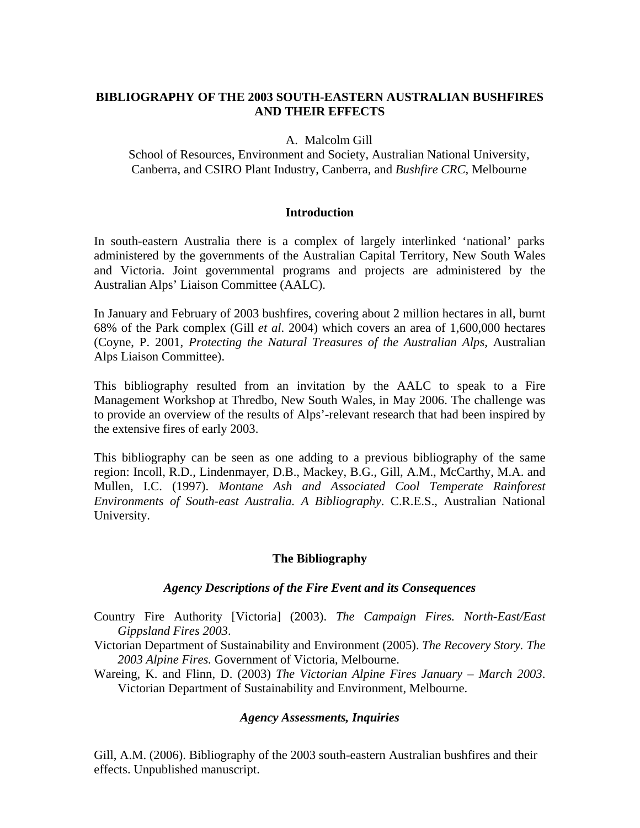# **BIBLIOGRAPHY OF THE 2003 SOUTH-EASTERN AUSTRALIAN BUSHFIRES AND THEIR EFFECTS**

A. Malcolm Gill

School of Resources, Environment and Society, Australian National University, Canberra, and CSIRO Plant Industry, Canberra, and *Bushfire CRC*, Melbourne

### **Introduction**

In south-eastern Australia there is a complex of largely interlinked 'national' parks administered by the governments of the Australian Capital Territory, New South Wales and Victoria. Joint governmental programs and projects are administered by the Australian Alps' Liaison Committee (AALC).

In January and February of 2003 bushfires, covering about 2 million hectares in all, burnt 68% of the Park complex (Gill *et al*. 2004) which covers an area of 1,600,000 hectares (Coyne, P. 2001, *Protecting the Natural Treasures of the Australian Alps*, Australian Alps Liaison Committee).

This bibliography resulted from an invitation by the AALC to speak to a Fire Management Workshop at Thredbo, New South Wales, in May 2006. The challenge was to provide an overview of the results of Alps'-relevant research that had been inspired by the extensive fires of early 2003.

This bibliography can be seen as one adding to a previous bibliography of the same region: Incoll, R.D., Lindenmayer, D.B., Mackey, B.G., Gill, A.M., McCarthy, M.A. and Mullen, I.C. (1997). *Montane Ash and Associated Cool Temperate Rainforest Environments of South-east Australia. A Bibliography*. C.R.E.S., Australian National University.

## **The Bibliography**

### *Agency Descriptions of the Fire Event and its Consequences*

- Country Fire Authority [Victoria] (2003). *The Campaign Fires. North-East/East Gippsland Fires 2003*.
- Victorian Department of Sustainability and Environment (2005). *The Recovery Story. The 2003 Alpine Fires.* Government of Victoria, Melbourne.

Wareing, K. and Flinn, D. (2003) *The Victorian Alpine Fires January – March 2003*. Victorian Department of Sustainability and Environment, Melbourne.

## *Agency Assessments, Inquiries*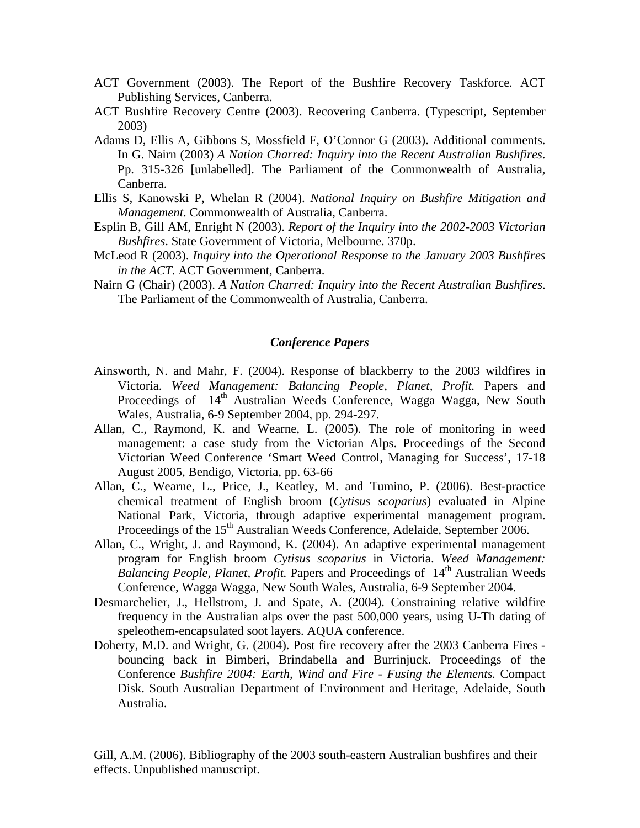- ACT Government (2003). The Report of the Bushfire Recovery Taskforce*.* ACT Publishing Services, Canberra.
- ACT Bushfire Recovery Centre (2003). Recovering Canberra. (Typescript, September 2003)
- Adams D, Ellis A, Gibbons S, Mossfield F, O'Connor G (2003). Additional comments. In G. Nairn (2003) *A Nation Charred: Inquiry into the Recent Australian Bushfires*. Pp. 315-326 [unlabelled]. The Parliament of the Commonwealth of Australia, Canberra.
- Ellis S, Kanowski P, Whelan R (2004). *National Inquiry on Bushfire Mitigation and Management*. Commonwealth of Australia, Canberra.
- Esplin B, Gill AM, Enright N (2003). *Report of the Inquiry into the 2002-2003 Victorian Bushfires*. State Government of Victoria, Melbourne. 370p.
- McLeod R (2003). *Inquiry into the Operational Response to the January 2003 Bushfires in the ACT*. ACT Government, Canberra.
- Nairn G (Chair) (2003). *A Nation Charred: Inquiry into the Recent Australian Bushfires*. The Parliament of the Commonwealth of Australia, Canberra.

#### *Conference Papers*

- Ainsworth, N. and Mahr, F. (2004). Response of blackberry to the 2003 wildfires in Victoria. *Weed Management: Balancing People, Planet, Profit.* Papers and Proceedings of 14<sup>th</sup> Australian Weeds Conference, Wagga Wagga, New South Wales, Australia, 6-9 September 2004, pp. 294-297.
- Allan, C., Raymond, K. and Wearne, L. (2005). The role of monitoring in weed management: a case study from the Victorian Alps. Proceedings of the Second Victorian Weed Conference 'Smart Weed Control, Managing for Success', 17-18 August 2005, Bendigo, Victoria, pp. 63-66
- Allan, C., Wearne, L., Price, J., Keatley, M. and Tumino, P. (2006). Best-practice chemical treatment of English broom (*Cytisus scoparius*) evaluated in Alpine National Park, Victoria, through adaptive experimental management program. Proceedings of the 15<sup>th</sup> Australian Weeds Conference, Adelaide, September 2006.
- Allan, C., Wright, J. and Raymond, K. (2004). An adaptive experimental management program for English broom *Cytisus scoparius* in Victoria. *Weed Management: Balancing People, Planet, Profit.* Papers and Proceedings of 14<sup>th</sup> Australian Weeds Conference, Wagga Wagga, New South Wales, Australia, 6-9 September 2004.
- Desmarchelier, J., Hellstrom, J. and Spate, A. (2004). Constraining relative wildfire frequency in the Australian alps over the past 500,000 years, using U-Th dating of speleothem-encapsulated soot layers. AQUA conference.
- Doherty, M.D. and Wright, G. (2004). Post fire recovery after the 2003 Canberra Fires bouncing back in Bimberi, Brindabella and Burrinjuck. Proceedings of the Conference *Bushfire 2004: Earth, Wind and Fire - Fusing the Elements.* Compact Disk. South Australian Department of Environment and Heritage, Adelaide, South Australia.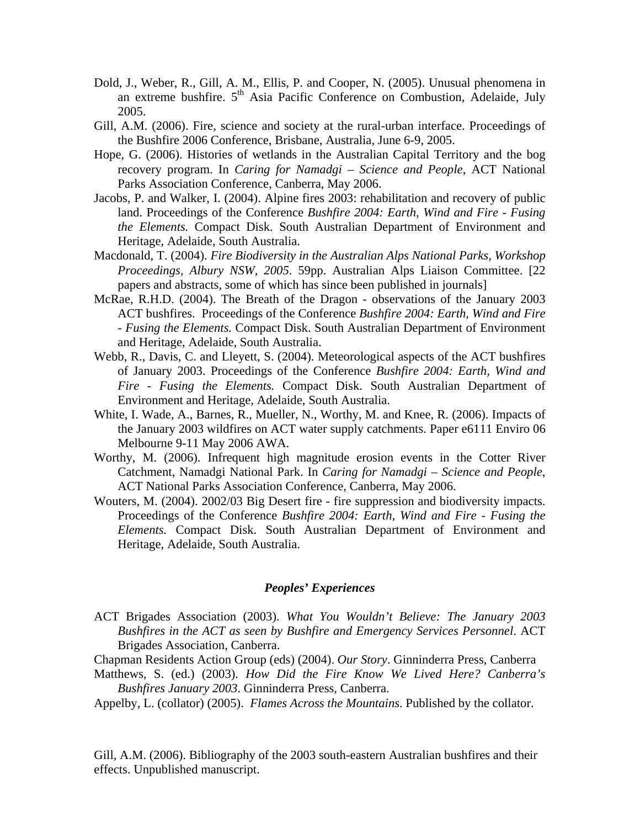- Dold, J., Weber, R., Gill, A. M., Ellis, P. and Cooper, N. (2005). Unusual phenomena in an extreme bushfire.  $5<sup>th</sup>$  Asia Pacific Conference on Combustion, Adelaide, July 2005.
- Gill, A.M. (2006). Fire, science and society at the rural-urban interface. Proceedings of the Bushfire 2006 Conference, Brisbane, Australia, June 6-9, 2005.
- Hope, G. (2006). Histories of wetlands in the Australian Capital Territory and the bog recovery program. In *Caring for Namadgi – Science and People*, ACT National Parks Association Conference, Canberra, May 2006.
- Jacobs, P. and Walker, I. (2004). Alpine fires 2003: rehabilitation and recovery of public land. Proceedings of the Conference *Bushfire 2004: Earth, Wind and Fire - Fusing the Elements.* Compact Disk. South Australian Department of Environment and Heritage, Adelaide, South Australia.
- Macdonald, T. (2004). *Fire Biodiversity in the Australian Alps National Parks, Workshop Proceedings, Albury NSW, 2005*. 59pp. Australian Alps Liaison Committee. [22 papers and abstracts, some of which has since been published in journals]
- McRae, R.H.D. (2004). The Breath of the Dragon observations of the January 2003 ACT bushfires. Proceedings of the Conference *Bushfire 2004: Earth, Wind and Fire - Fusing the Elements.* Compact Disk. South Australian Department of Environment and Heritage, Adelaide, South Australia.
- Webb, R., Davis, C. and Lleyett, S. (2004). Meteorological aspects of the ACT bushfires of January 2003. Proceedings of the Conference *Bushfire 2004: Earth, Wind and Fire - Fusing the Elements.* Compact Disk. South Australian Department of Environment and Heritage, Adelaide, South Australia.
- White, I. Wade, A., Barnes, R., Mueller, N., Worthy, M. and Knee, R. (2006). Impacts of the January 2003 wildfires on ACT water supply catchments. Paper e6111 Enviro 06 Melbourne 9-11 May 2006 AWA.
- Worthy, M. (2006). Infrequent high magnitude erosion events in the Cotter River Catchment, Namadgi National Park. In *Caring for Namadgi – Science and People*, ACT National Parks Association Conference, Canberra, May 2006.
- Wouters, M. (2004). 2002/03 Big Desert fire fire suppression and biodiversity impacts. Proceedings of the Conference *Bushfire 2004: Earth, Wind and Fire - Fusing the Elements.* Compact Disk. South Australian Department of Environment and Heritage, Adelaide, South Australia.

### *Peoples' Experiences*

ACT Brigades Association (2003). *What You Wouldn't Believe: The January 2003 Bushfires in the ACT as seen by Bushfire and Emergency Services Personnel*. ACT Brigades Association, Canberra.

Chapman Residents Action Group (eds) (2004). *Our Story*. Ginninderra Press, Canberra

- Matthews, S. (ed.) (2003). *How Did the Fire Know We Lived Here? Canberra's Bushfires January 2003*. Ginninderra Press, Canberra.
- Appelby, L. (collator) (2005). *Flames Across the Mountains*. Published by the collator.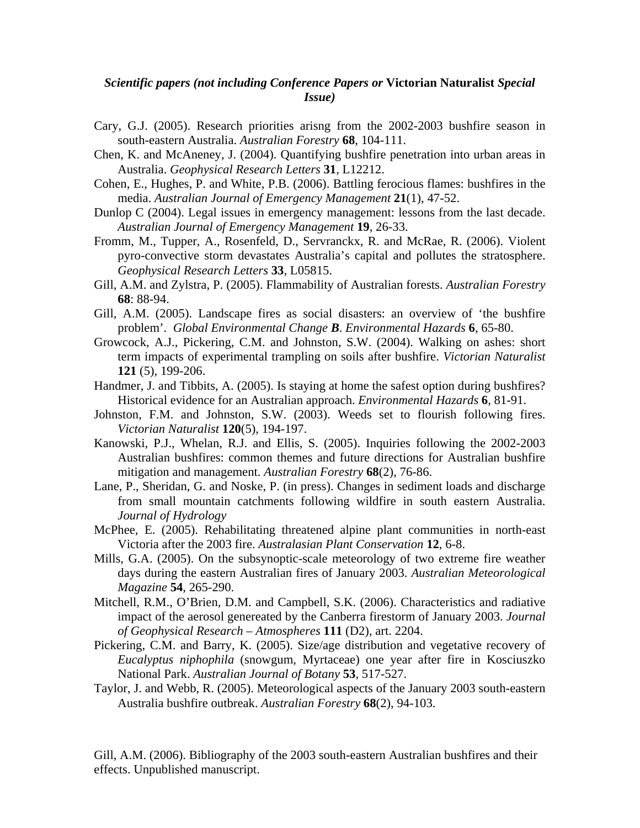## *Scientific papers (not including Conference Papers or* **Victorian Naturalist** *Special Issue)*

- Cary, G.J. (2005). Research priorities arisng from the 2002-2003 bushfire season in south-eastern Australia. *Australian Forestry* **68**, 104-111.
- Chen, K. and McAneney, J. (2004). Quantifying bushfire penetration into urban areas in Australia. *Geophysical Research Letters* **31**, L12212.
- Cohen, E., Hughes, P. and White, P.B. (2006). Battling ferocious flames: bushfires in the media. *Australian Journal of Emergency Management* **21**(1), 47-52.
- Dunlop C (2004). Legal issues in emergency management: lessons from the last decade. *Australian Journal of Emergency Management* **19**, 26-33.
- Fromm, M., Tupper, A., Rosenfeld, D., Servranckx, R. and McRae, R. (2006). Violent pyro-convective storm devastates Australia's capital and pollutes the stratosphere. *Geophysical Research Letters* **33**, L05815.
- Gill, A.M. and Zylstra, P. (2005). Flammability of Australian forests. *Australian Forestry*  **68**: 88-94.
- Gill, A.M. (2005). Landscape fires as social disasters: an overview of 'the bushfire problem'. *Global Environmental Change B*. *Environmental Hazards* **6**, 65-80.
- Growcock, A.J., Pickering, C.M. and Johnston, S.W. (2004). Walking on ashes: short term impacts of experimental trampling on soils after bushfire. *Victorian Naturalist* **121** (5), 199-206.
- Handmer, J. and Tibbits, A. (2005). Is staying at home the safest option during bushfires? Historical evidence for an Australian approach. *Environmental Hazards* **6**, 81-91.
- Johnston, F.M. and Johnston, S.W. (2003). Weeds set to flourish following fires. *Victorian Naturalist* **120**(5), 194-197.
- Kanowski, P.J., Whelan, R.J. and Ellis, S. (2005). Inquiries following the 2002-2003 Australian bushfires: common themes and future directions for Australian bushfire mitigation and management. *Australian Forestry* **68**(2), 76-86.
- Lane, P., Sheridan, G. and Noske, P. (in press). Changes in sediment loads and discharge from small mountain catchments following wildfire in south eastern Australia. *Journal of Hydrology*
- McPhee, E. (2005). Rehabilitating threatened alpine plant communities in north-east Victoria after the 2003 fire. *Australasian Plant Conservation* **12**, 6-8.
- Mills, G.A. (2005). On the subsynoptic-scale meteorology of two extreme fire weather days during the eastern Australian fires of January 2003. *Australian Meteorological Magazine* **54**, 265-290.
- Mitchell, R.M., O'Brien, D.M. and Campbell, S.K. (2006). Characteristics and radiative impact of the aerosol genereated by the Canberra firestorm of January 2003. *Journal of Geophysical Research – Atmospheres* **111** (D2), art. 2204.
- Pickering, C.M. and Barry, K. (2005). Size/age distribution and vegetative recovery of *Eucalyptus niphophila* (snowgum, Myrtaceae) one year after fire in Kosciuszko National Park. *Australian Journal of Botany* **53**, 517-527.
- Taylor, J. and Webb, R. (2005). Meteorological aspects of the January 2003 south-eastern Australia bushfire outbreak. *Australian Forestry* **68**(2), 94-103.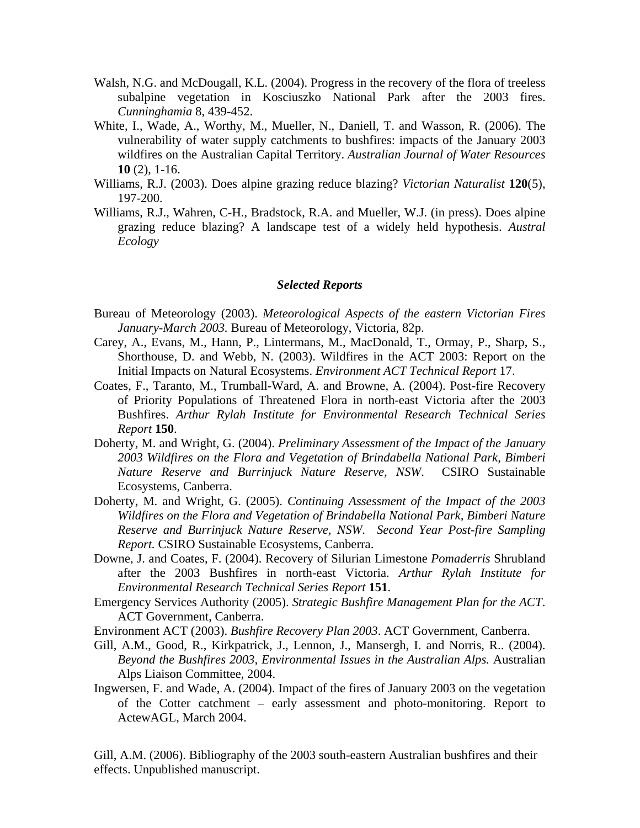- Walsh, N.G. and McDougall, K.L. (2004). Progress in the recovery of the flora of treeless subalpine vegetation in Kosciuszko National Park after the 2003 fires. *Cunninghamia* 8, 439-452.
- White, I., Wade, A., Worthy, M., Mueller, N., Daniell, T. and Wasson, R. (2006). The vulnerability of water supply catchments to bushfires: impacts of the January 2003 wildfires on the Australian Capital Territory. *Australian Journal of Water Resources* **10** (2), 1-16.
- Williams, R.J. (2003). Does alpine grazing reduce blazing? *Victorian Naturalist* **120**(5), 197-200.
- Williams, R.J., Wahren, C-H., Bradstock, R.A. and Mueller, W.J. (in press). Does alpine grazing reduce blazing? A landscape test of a widely held hypothesis. *Austral Ecology*

#### *Selected Reports*

- Bureau of Meteorology (2003). *Meteorological Aspects of the eastern Victorian Fires January-March 2003.* Bureau of Meteorology, Victoria, 82p.
- Carey, A., Evans, M., Hann, P., Lintermans, M., MacDonald, T., Ormay, P., Sharp, S., Shorthouse, D. and Webb, N. (2003). Wildfires in the ACT 2003: Report on the Initial Impacts on Natural Ecosystems. *Environment ACT Technical Report* 17.
- Coates, F., Taranto, M., Trumball-Ward, A. and Browne, A. (2004). Post-fire Recovery of Priority Populations of Threatened Flora in north-east Victoria after the 2003 Bushfires. *Arthur Rylah Institute for Environmental Research Technical Series Report* **150**.
- Doherty, M. and Wright, G. (2004). *Preliminary Assessment of the Impact of the January 2003 Wildfires on the Flora and Vegetation of Brindabella National Park, Bimberi Nature Reserve and Burrinjuck Nature Reserve, NSW*. CSIRO Sustainable Ecosystems, Canberra.
- Doherty, M. and Wright, G. (2005). *Continuing Assessment of the Impact of the 2003 Wildfires on the Flora and Vegetation of Brindabella National Park, Bimberi Nature Reserve and Burrinjuck Nature Reserve, NSW*. *Second Year Post-fire Sampling Report.* CSIRO Sustainable Ecosystems, Canberra.
- Downe, J. and Coates, F. (2004). Recovery of Silurian Limestone *Pomaderris* Shrubland after the 2003 Bushfires in north-east Victoria. *Arthur Rylah Institute for Environmental Research Technical Series Report* **151**.
- Emergency Services Authority (2005). *Strategic Bushfire Management Plan for the ACT*. ACT Government, Canberra.
- Environment ACT (2003). *Bushfire Recovery Plan 2003*. ACT Government, Canberra.
- Gill, A.M., Good, R., Kirkpatrick, J., Lennon, J., Mansergh, I. and Norris, R.. (2004). *Beyond the Bushfires 2003, Environmental Issues in the Australian Alps.* Australian Alps Liaison Committee, 2004.
- Ingwersen, F. and Wade, A. (2004). Impact of the fires of January 2003 on the vegetation of the Cotter catchment – early assessment and photo-monitoring. Report to ActewAGL, March 2004.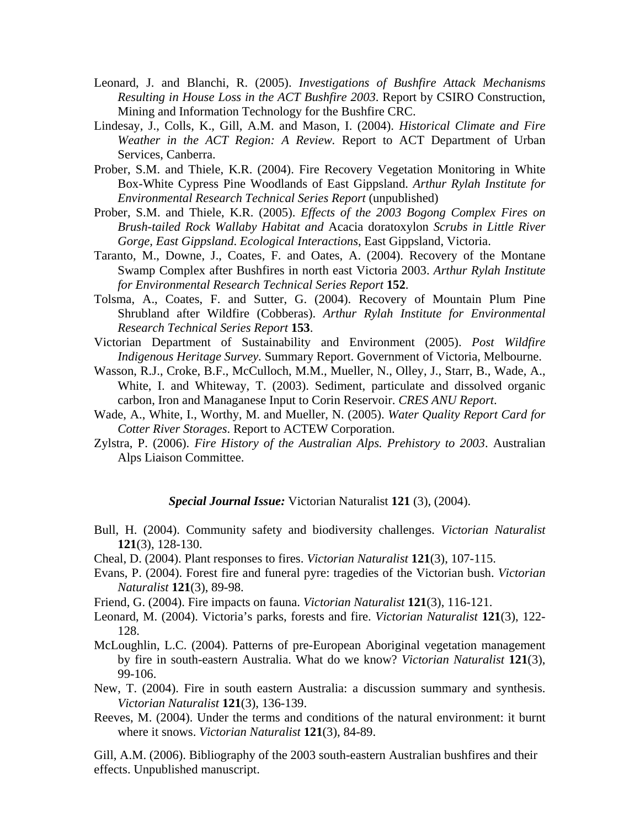- Leonard, J. and Blanchi, R. (2005). *Investigations of Bushfire Attack Mechanisms Resulting in House Loss in the ACT Bushfire 2003*. Report by CSIRO Construction, Mining and Information Technology for the Bushfire CRC.
- Lindesay, J., Colls, K., Gill, A.M. and Mason, I. (2004). *Historical Climate and Fire Weather in the ACT Region: A Review.* Report to ACT Department of Urban Services, Canberra.
- Prober, S.M. and Thiele, K.R. (2004). Fire Recovery Vegetation Monitoring in White Box-White Cypress Pine Woodlands of East Gippsland. *Arthur Rylah Institute for Environmental Research Technical Series Report* (unpublished)
- Prober, S.M. and Thiele, K.R. (2005). *Effects of the 2003 Bogong Complex Fires on Brush-tailed Rock Wallaby Habitat and* Acacia doratoxylon *Scrubs in Little River Gorge, East Gippsland*. *Ecological Interactions*, East Gippsland, Victoria.
- Taranto, M., Downe, J., Coates, F. and Oates, A. (2004). Recovery of the Montane Swamp Complex after Bushfires in north east Victoria 2003. *Arthur Rylah Institute for Environmental Research Technical Series Report* **152**.
- Tolsma, A., Coates, F. and Sutter, G. (2004). Recovery of Mountain Plum Pine Shrubland after Wildfire (Cobberas). *Arthur Rylah Institute for Environmental Research Technical Series Report* **153**.
- Victorian Department of Sustainability and Environment (2005). *Post Wildfire Indigenous Heritage Survey.* Summary Report. Government of Victoria, Melbourne.
- Wasson, R.J., Croke, B.F., McCulloch, M.M., Mueller, N., Olley, J., Starr, B., Wade, A., White, I. and Whiteway, T. (2003). Sediment, particulate and dissolved organic carbon, Iron and Managanese Input to Corin Reservoir. *CRES ANU Report*.
- Wade, A., White, I., Worthy, M. and Mueller, N. (2005). *Water Quality Report Card for Cotter River Storages*. Report to ACTEW Corporation.
- Zylstra, P. (2006). *Fire History of the Australian Alps. Prehistory to 2003*. Australian Alps Liaison Committee.

*Special Journal Issue:* Victorian Naturalist **121** (3), (2004).

- Bull, H. (2004). Community safety and biodiversity challenges. *Victorian Naturalist* **121**(3), 128-130.
- Cheal, D. (2004). Plant responses to fires. *Victorian Naturalist* **121**(3), 107-115.
- Evans, P. (2004). Forest fire and funeral pyre: tragedies of the Victorian bush. *Victorian Naturalist* **121**(3), 89-98.
- Friend, G. (2004). Fire impacts on fauna. *Victorian Naturalist* **121**(3), 116-121.
- Leonard, M. (2004). Victoria's parks, forests and fire. *Victorian Naturalist* **121**(3), 122- 128.
- McLoughlin, L.C. (2004). Patterns of pre-European Aboriginal vegetation management by fire in south-eastern Australia. What do we know? *Victorian Naturalist* **121**(3), 99-106.
- New, T. (2004). Fire in south eastern Australia: a discussion summary and synthesis. *Victorian Naturalist* **121**(3), 136-139.
- Reeves, M. (2004). Under the terms and conditions of the natural environment: it burnt where it snows. *Victorian Naturalist* **121**(3), 84-89.